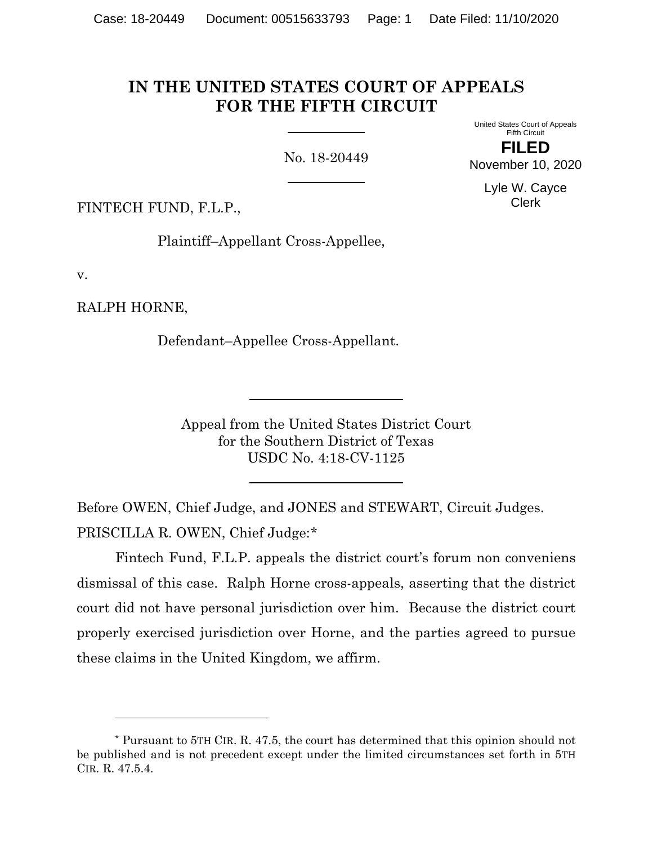# **IN THE UNITED STATES COURT OF APPEALS FOR THE FIFTH CIRCUIT**

No. 18-20449

United States Court of Appeals Fifth Circuit **FILED**

November 10, 2020 Lyle W. Cayce

Clerk

FINTECH FUND, F.L.P.,

Plaintiff–Appellant Cross-Appellee,

v.

RALPH HORNE,

Defendant–Appellee Cross-Appellant.

Appeal from the United States District Court for the Southern District of Texas USDC No. 4:18-CV-1125

Before OWEN, Chief Judge, and JONES and STEWART, Circuit Judges. PRISCILLA R. OWEN, Chief Judge:[\\*](#page-0-0)

Fintech Fund, F.L.P. appeals the district court's forum non conveniens dismissal of this case. Ralph Horne cross-appeals, asserting that the district court did not have personal jurisdiction over him. Because the district court properly exercised jurisdiction over Horne, and the parties agreed to pursue these claims in the United Kingdom, we affirm.

<span id="page-0-0"></span><sup>\*</sup> Pursuant to 5TH CIR. R. 47.5, the court has determined that this opinion should not be published and is not precedent except under the limited circumstances set forth in 5TH CIR. R. 47.5.4.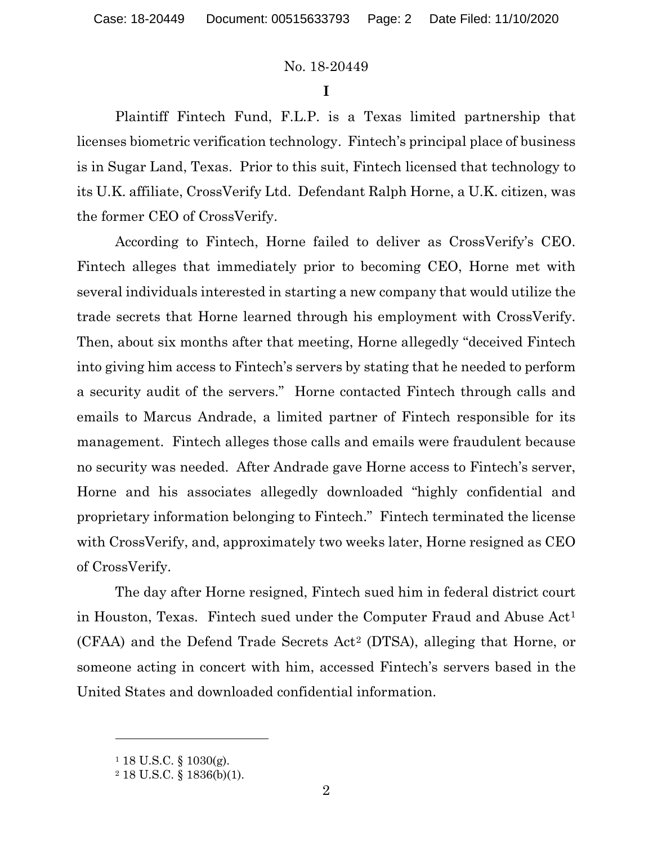**I**

Plaintiff Fintech Fund, F.L.P. is a Texas limited partnership that licenses biometric verification technology. Fintech's principal place of business is in Sugar Land, Texas. Prior to this suit, Fintech licensed that technology to its U.K. affiliate, CrossVerify Ltd. Defendant Ralph Horne, a U.K. citizen, was the former CEO of CrossVerify.

According to Fintech, Horne failed to deliver as CrossVerify's CEO. Fintech alleges that immediately prior to becoming CEO, Horne met with several individuals interested in starting a new company that would utilize the trade secrets that Horne learned through his employment with CrossVerify. Then, about six months after that meeting, Horne allegedly "deceived Fintech into giving him access to Fintech's servers by stating that he needed to perform a security audit of the servers." Horne contacted Fintech through calls and emails to Marcus Andrade, a limited partner of Fintech responsible for its management. Fintech alleges those calls and emails were fraudulent because no security was needed. After Andrade gave Horne access to Fintech's server, Horne and his associates allegedly downloaded "highly confidential and proprietary information belonging to Fintech." Fintech terminated the license with CrossVerify, and, approximately two weeks later, Horne resigned as CEO of CrossVerify.

The day after Horne resigned, Fintech sued him in federal district court in Houston, Texas. Fintech sued under the Computer Fraud and Abuse Act<sup>[1](#page-1-0)</sup> (CFAA) and the Defend Trade Secrets Act[2](#page-1-1) (DTSA), alleging that Horne, or someone acting in concert with him, accessed Fintech's servers based in the United States and downloaded confidential information.

<span id="page-1-0"></span> $118$  U.S.C. § 1030(g).

<span id="page-1-1"></span><sup>2</sup> 18 U.S.C. § 1836(b)(1).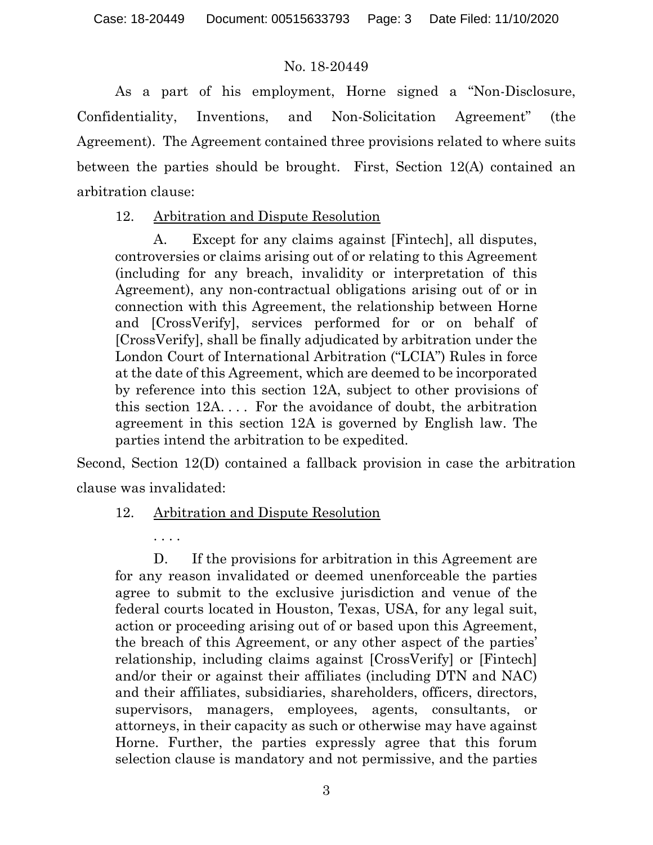As a part of his employment, Horne signed a "Non-Disclosure, Confidentiality, Inventions, and Non-Solicitation Agreement" (the Agreement). The Agreement contained three provisions related to where suits between the parties should be brought. First, Section 12(A) contained an arbitration clause:

# 12. Arbitration and Dispute Resolution

A. Except for any claims against [Fintech], all disputes, controversies or claims arising out of or relating to this Agreement (including for any breach, invalidity or interpretation of this Agreement), any non-contractual obligations arising out of or in connection with this Agreement, the relationship between Horne and [CrossVerify], services performed for or on behalf of [CrossVerify], shall be finally adjudicated by arbitration under the London Court of International Arbitration ("LCIA") Rules in force at the date of this Agreement, which are deemed to be incorporated by reference into this section 12A, subject to other provisions of this section 12A. . . . For the avoidance of doubt, the arbitration agreement in this section 12A is governed by English law. The parties intend the arbitration to be expedited.

Second, Section 12(D) contained a fallback provision in case the arbitration clause was invalidated:

# 12. Arbitration and Dispute Resolution

. . . .

D. If the provisions for arbitration in this Agreement are for any reason invalidated or deemed unenforceable the parties agree to submit to the exclusive jurisdiction and venue of the federal courts located in Houston, Texas, USA, for any legal suit, action or proceeding arising out of or based upon this Agreement, the breach of this Agreement, or any other aspect of the parties' relationship, including claims against [CrossVerify] or [Fintech] and/or their or against their affiliates (including DTN and NAC) and their affiliates, subsidiaries, shareholders, officers, directors, supervisors, managers, employees, agents, consultants, or attorneys, in their capacity as such or otherwise may have against Horne. Further, the parties expressly agree that this forum selection clause is mandatory and not permissive, and the parties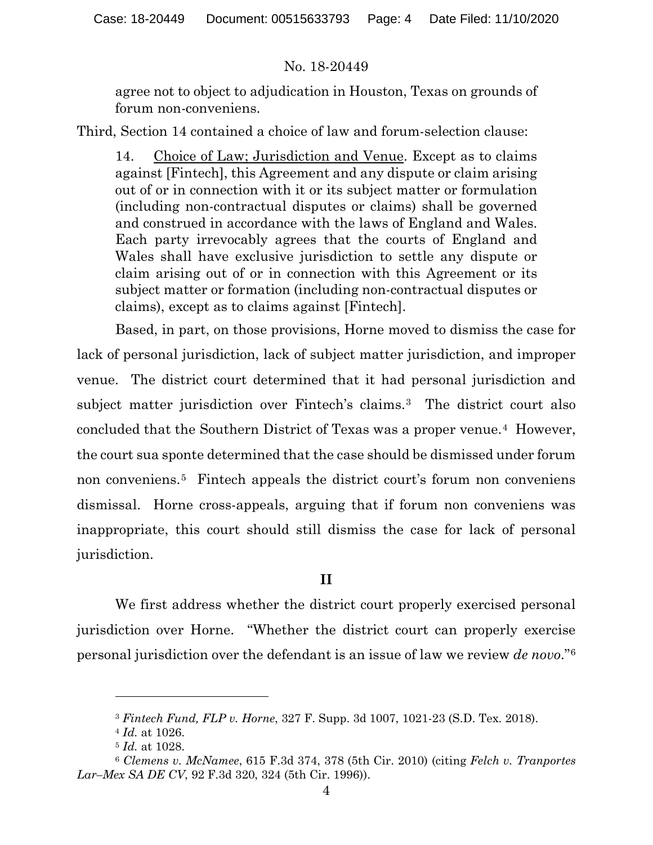agree not to object to adjudication in Houston, Texas on grounds of forum non-conveniens.

Third, Section 14 contained a choice of law and forum-selection clause:

14. Choice of Law; Jurisdiction and Venue. Except as to claims against [Fintech], this Agreement and any dispute or claim arising out of or in connection with it or its subject matter or formulation (including non-contractual disputes or claims) shall be governed and construed in accordance with the laws of England and Wales. Each party irrevocably agrees that the courts of England and Wales shall have exclusive jurisdiction to settle any dispute or claim arising out of or in connection with this Agreement or its subject matter or formation (including non-contractual disputes or claims), except as to claims against [Fintech].

Based, in part, on those provisions, Horne moved to dismiss the case for lack of personal jurisdiction, lack of subject matter jurisdiction, and improper venue. The district court determined that it had personal jurisdiction and subject matter jurisdiction over Fintech's claims.[3](#page-3-0) The district court also concluded that the Southern District of Texas was a proper venue.[4](#page-3-1) However, the court sua sponte determined that the case should be dismissed under forum non conveniens.[5](#page-3-2) Fintech appeals the district court's forum non conveniens dismissal. Horne cross-appeals, arguing that if forum non conveniens was inappropriate, this court should still dismiss the case for lack of personal jurisdiction.

# **II**

We first address whether the district court properly exercised personal jurisdiction over Horne. "Whether the district court can properly exercise personal jurisdiction over the defendant is an issue of law we review *de novo*."[6](#page-3-3)

<sup>3</sup> *Fintech Fund, FLP v. Horne*, 327 F. Supp. 3d 1007, 1021-23 (S.D. Tex. 2018).

<sup>4</sup> *Id.* at 1026.

<sup>5</sup> *Id.* at 1028.

<span id="page-3-3"></span><span id="page-3-2"></span><span id="page-3-1"></span><span id="page-3-0"></span><sup>6</sup> *Clemens v. McNamee*, 615 F.3d 374, 378 (5th Cir. 2010) (citing *Felch v. Tranportes Lar–Mex SA DE CV*, 92 F.3d 320, 324 (5th Cir. 1996)).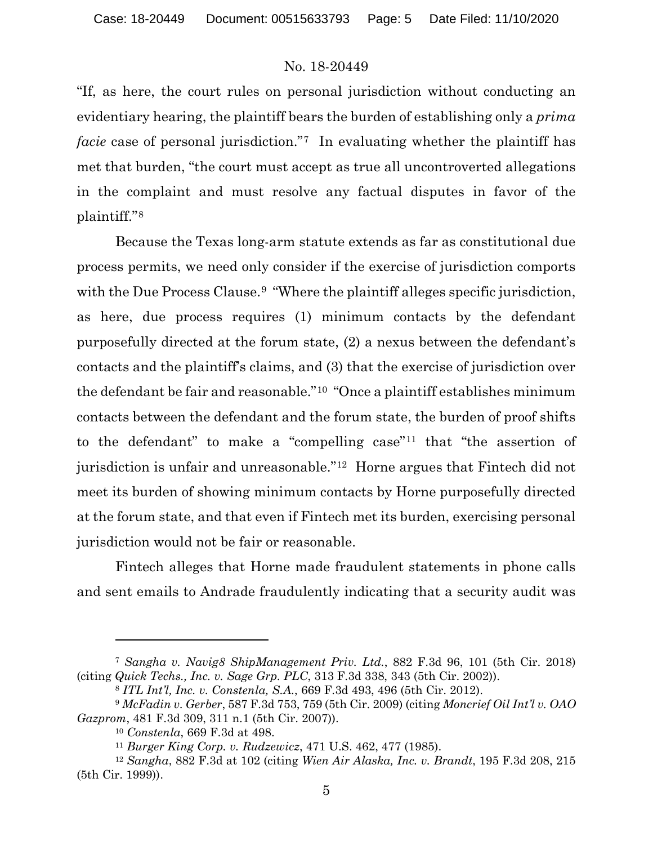"If, as here, the court rules on personal jurisdiction without conducting an evidentiary hearing, the plaintiff bears the burden of establishing only a *prima facie* case of personal jurisdiction."<sup>[7](#page-4-0)</sup> In evaluating whether the plaintiff has met that burden, "the court must accept as true all uncontroverted allegations in the complaint and must resolve any factual disputes in favor of the plaintiff."[8](#page-4-1) 

Because the Texas long-arm statute extends as far as constitutional due process permits, we need only consider if the exercise of jurisdiction comports with the Due Process Clause.<sup>[9](#page-4-2)</sup> "Where the plaintiff alleges specific jurisdiction, as here, due process requires (1) minimum contacts by the defendant purposefully directed at the forum state, (2) a nexus between the defendant's contacts and the plaintiff's claims, and (3) that the exercise of jurisdiction over the defendant be fair and reasonable."[10](#page-4-3) "Once a plaintiff establishes minimum contacts between the defendant and the forum state, the burden of proof shifts to the defendant" to make a "compelling case"[11](#page-4-4) that "the assertion of jurisdiction is unfair and unreasonable."[12](#page-4-5) Horne argues that Fintech did not meet its burden of showing minimum contacts by Horne purposefully directed at the forum state, and that even if Fintech met its burden, exercising personal jurisdiction would not be fair or reasonable.

Fintech alleges that Horne made fraudulent statements in phone calls and sent emails to Andrade fraudulently indicating that a security audit was

<span id="page-4-0"></span><sup>7</sup> *Sangha v. Navig8 ShipManagement Priv. Ltd.*, 882 F.3d 96, 101 (5th Cir. 2018) (citing *Quick Techs., Inc. v. Sage Grp. PLC*, 313 F.3d 338, 343 (5th Cir. 2002)).

<sup>8</sup> *ITL Int'l, Inc. v. Constenla, S.A.*, 669 F.3d 493, 496 (5th Cir. 2012).

<span id="page-4-3"></span><span id="page-4-2"></span><span id="page-4-1"></span><sup>9</sup> *McFadin v. Gerber*, 587 F.3d 753, 759 (5th Cir. 2009) (citing *Moncrief Oil Int'l v. OAO Gazprom*, 481 F.3d 309, 311 n.1 (5th Cir. 2007)).

<sup>10</sup> *Constenla*, 669 F.3d at 498.

<sup>11</sup> *Burger King Corp. v. Rudzewicz*, 471 U.S. 462, 477 (1985).

<span id="page-4-5"></span><span id="page-4-4"></span><sup>12</sup> *Sangha*, 882 F.3d at 102 (citing *Wien Air Alaska, Inc. v. Brandt*, 195 F.3d 208, 215 (5th Cir. 1999)).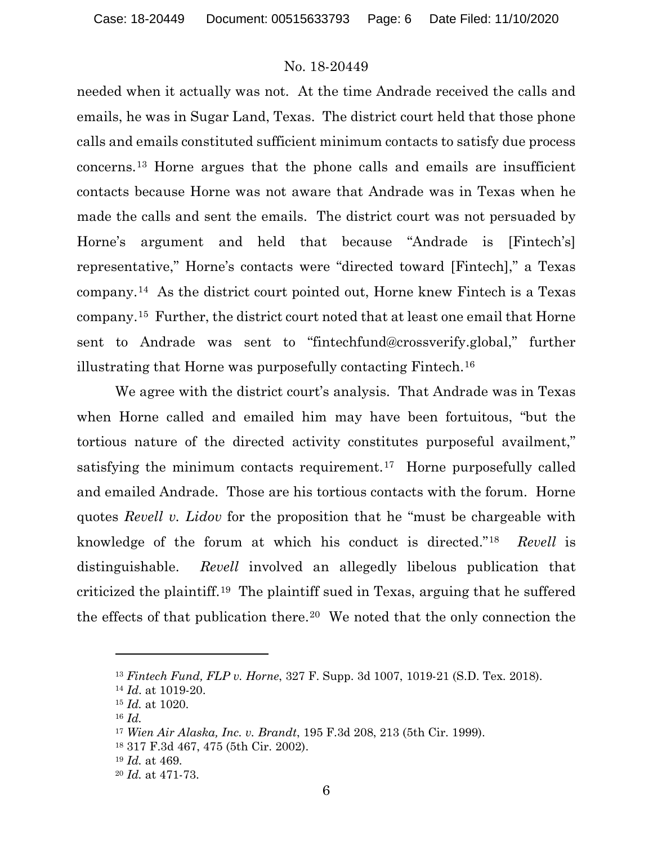needed when it actually was not. At the time Andrade received the calls and emails, he was in Sugar Land, Texas. The district court held that those phone calls and emails constituted sufficient minimum contacts to satisfy due process concerns.[13](#page-5-0) Horne argues that the phone calls and emails are insufficient contacts because Horne was not aware that Andrade was in Texas when he made the calls and sent the emails. The district court was not persuaded by Horne's argument and held that because "Andrade is [Fintech's] representative," Horne's contacts were "directed toward [Fintech]," a Texas company.[14](#page-5-1) As the district court pointed out, Horne knew Fintech is a Texas company.[15](#page-5-2) Further, the district court noted that at least one email that Horne sent to Andrade was sent to "fintechfund@crossverify.global," further illustrating that Horne was purposefully contacting Fintech.[16](#page-5-3)

We agree with the district court's analysis. That Andrade was in Texas when Horne called and emailed him may have been fortuitous, "but the tortious nature of the directed activity constitutes purposeful availment," satisfying the minimum contacts requirement.<sup>17</sup> Horne purposefully called and emailed Andrade. Those are his tortious contacts with the forum. Horne quotes *Revell v. Lidov* for the proposition that he "must be chargeable with knowledge of the forum at which his conduct is directed."[18](#page-5-5) *Revell* is distinguishable. *Revell* involved an allegedly libelous publication that criticized the plaintiff.[19](#page-5-6) The plaintiff sued in Texas, arguing that he suffered the effects of that publication there.<sup>[20](#page-5-7)</sup> We noted that the only connection the

<span id="page-5-1"></span><span id="page-5-0"></span><sup>13</sup> *Fintech Fund, FLP v. Horne*, 327 F. Supp. 3d 1007, 1019-21 (S.D. Tex. 2018).

<sup>14</sup> *Id*. at 1019-20.

<span id="page-5-2"></span><sup>15</sup> *Id.* at 1020.

<span id="page-5-4"></span><span id="page-5-3"></span><sup>16</sup> *Id.*

<sup>17</sup> *Wien Air Alaska, Inc. v. Brandt*, 195 F.3d 208, 213 (5th Cir. 1999).

<span id="page-5-5"></span><sup>18</sup> 317 F.3d 467, 475 (5th Cir. 2002).

<span id="page-5-6"></span><sup>19</sup> *Id.* at 469.

<span id="page-5-7"></span><sup>20</sup> *Id.* at 471-73.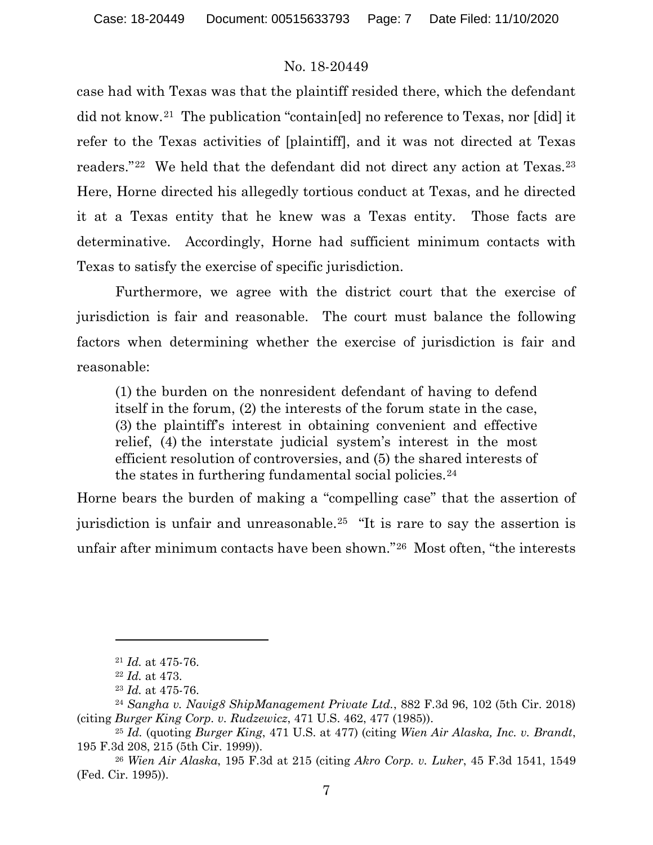case had with Texas was that the plaintiff resided there, which the defendant did not know.[21](#page-6-0) The publication "contain[ed] no reference to Texas, nor [did] it refer to the Texas activities of [plaintiff], and it was not directed at Texas readers."[22](#page-6-1) We held that the defendant did not direct any action at Texas[.23](#page-6-2) Here, Horne directed his allegedly tortious conduct at Texas, and he directed it at a Texas entity that he knew was a Texas entity. Those facts are determinative. Accordingly, Horne had sufficient minimum contacts with Texas to satisfy the exercise of specific jurisdiction.

Furthermore, we agree with the district court that the exercise of jurisdiction is fair and reasonable. The court must balance the following factors when determining whether the exercise of jurisdiction is fair and reasonable:

(1) the burden on the nonresident defendant of having to defend itself in the forum, (2) the interests of the forum state in the case, (3) the plaintiff's interest in obtaining convenient and effective relief, (4) the interstate judicial system's interest in the most efficient resolution of controversies, and (5) the shared interests of the states in furthering fundamental social policies.<sup>[24](#page-6-3)</sup>

Horne bears the burden of making a "compelling case" that the assertion of jurisdiction is unfair and unreasonable.[25](#page-6-4) "It is rare to say the assertion is unfair after minimum contacts have been shown."[26](#page-6-5) Most often, "the interests

<sup>21</sup> *Id.* at 475-76.

<sup>22</sup> *Id.* at 473.

<sup>23</sup> *Id.* at 475-76.

<span id="page-6-3"></span><span id="page-6-2"></span><span id="page-6-1"></span><span id="page-6-0"></span><sup>24</sup> *Sangha v. Navig8 ShipManagement Private Ltd.*, 882 F.3d 96, 102 (5th Cir. 2018) (citing *Burger King Corp. v. Rudzewicz*, 471 U.S. 462, 477 (1985)).

<span id="page-6-4"></span><sup>25</sup> *Id.* (quoting *Burger King*, 471 U.S. at 477) (citing *Wien Air Alaska, Inc. v. Brandt*, 195 F.3d 208, 215 (5th Cir. 1999)).

<span id="page-6-5"></span><sup>26</sup> *Wien Air Alaska*, 195 F.3d at 215 (citing *Akro Corp. v. Luker*, 45 F.3d 1541, 1549 (Fed. Cir. 1995)).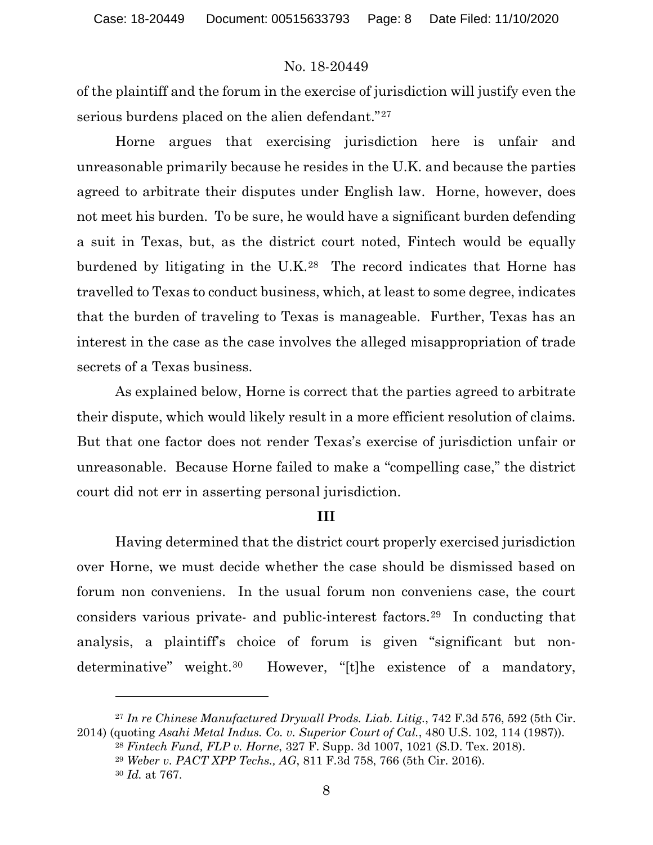of the plaintiff and the forum in the exercise of jurisdiction will justify even the serious burdens placed on the alien defendant."<sup>[27](#page-7-0)</sup>

Horne argues that exercising jurisdiction here is unfair and unreasonable primarily because he resides in the U.K. and because the parties agreed to arbitrate their disputes under English law. Horne, however, does not meet his burden. To be sure, he would have a significant burden defending a suit in Texas, but, as the district court noted, Fintech would be equally burdened by litigating in the U.K.[28](#page-7-1) The record indicates that Horne has travelled to Texas to conduct business, which, at least to some degree, indicates that the burden of traveling to Texas is manageable. Further, Texas has an interest in the case as the case involves the alleged misappropriation of trade secrets of a Texas business.

As explained below, Horne is correct that the parties agreed to arbitrate their dispute, which would likely result in a more efficient resolution of claims. But that one factor does not render Texas's exercise of jurisdiction unfair or unreasonable. Because Horne failed to make a "compelling case," the district court did not err in asserting personal jurisdiction.

#### **III**

Having determined that the district court properly exercised jurisdiction over Horne, we must decide whether the case should be dismissed based on forum non conveniens. In the usual forum non conveniens case, the court considers various private- and public-interest factors.[29](#page-7-2) In conducting that analysis, a plaintiff's choice of forum is given "significant but nondeterminative" weight.<sup>30</sup> However, "[t]he existence of a mandatory,

<span id="page-7-3"></span><span id="page-7-2"></span><span id="page-7-1"></span><span id="page-7-0"></span><sup>27</sup> *In re Chinese Manufactured Drywall Prods. Liab. Litig.*, 742 F.3d 576, 592 (5th Cir. 2014) (quoting *Asahi Metal Indus. Co. v. Superior Court of Cal.*, 480 U.S. 102, 114 (1987)).

<sup>28</sup> *Fintech Fund, FLP v. Horne*, 327 F. Supp. 3d 1007, 1021 (S.D. Tex. 2018).

<sup>29</sup> *Weber v. PACT XPP Techs., AG*, 811 F.3d 758, 766 (5th Cir. 2016).

<sup>30</sup> *Id.* at 767.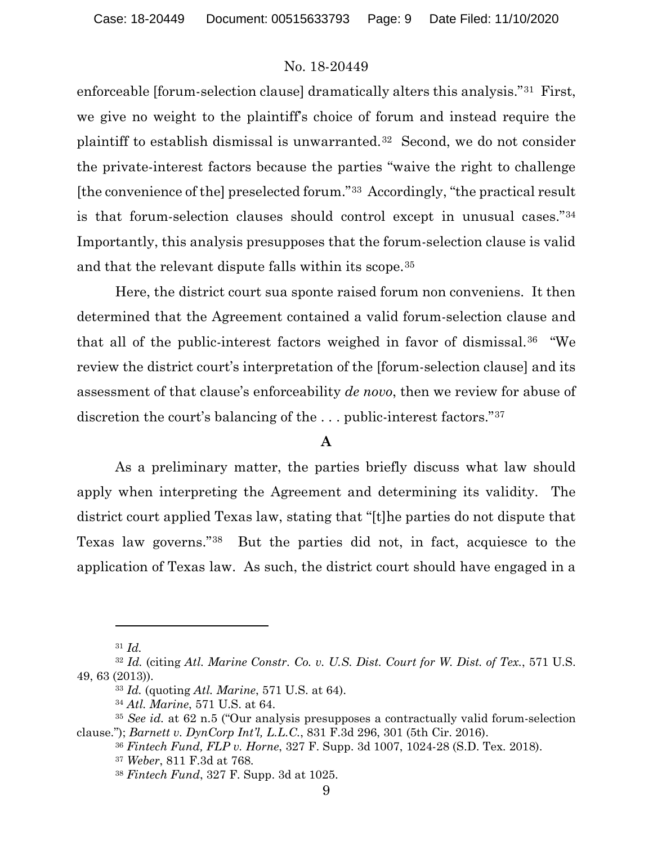enforceable [forum-selection clause] dramatically alters this analysis."[31](#page-8-0) First, we give no weight to the plaintiff's choice of forum and instead require the plaintiff to establish dismissal is unwarranted.[32](#page-8-1) Second, we do not consider the private-interest factors because the parties "waive the right to challenge [the convenience of the] preselected forum."[33](#page-8-2) Accordingly, "the practical result is that forum-selection clauses should control except in unusual cases."[34](#page-8-3) Importantly, this analysis presupposes that the forum-selection clause is valid and that the relevant dispute falls within its scope.[35](#page-8-4)

Here, the district court sua sponte raised forum non conveniens. It then determined that the Agreement contained a valid forum-selection clause and that all of the public-interest factors weighed in favor of dismissal.[36](#page-8-5) "We review the district court's interpretation of the [forum-selection clause] and its assessment of that clause's enforceability *de novo*, then we review for abuse of discretion the court's balancing of the . . . public-interest factors."[37](#page-8-6) 

# **A**

As a preliminary matter, the parties briefly discuss what law should apply when interpreting the Agreement and determining its validity. The district court applied Texas law, stating that "[t]he parties do not dispute that Texas law governs."[38](#page-8-7) But the parties did not, in fact, acquiesce to the application of Texas law. As such, the district court should have engaged in a

<sup>31</sup> *Id.* 

<span id="page-8-2"></span><span id="page-8-1"></span><span id="page-8-0"></span><sup>32</sup> *Id.* (citing *Atl. Marine Constr. Co. v. U.S. Dist. Court for W. Dist. of Tex.*, 571 U.S. 49, 63 (2013)).

<sup>33</sup> *Id.* (quoting *Atl. Marine*, 571 U.S. at 64).

<sup>34</sup> *Atl. Marine*, 571 U.S. at 64.

<span id="page-8-7"></span><span id="page-8-6"></span><span id="page-8-5"></span><span id="page-8-4"></span><span id="page-8-3"></span><sup>35</sup> *See id.* at 62 n.5 ("Our analysis presupposes a contractually valid forum-selection clause."); *Barnett v. DynCorp Int'l, L.L.C.*, 831 F.3d 296, 301 (5th Cir. 2016).

<sup>36</sup> *Fintech Fund, FLP v. Horne*, 327 F. Supp. 3d 1007, 1024-28 (S.D. Tex. 2018).

<sup>37</sup> *Weber*, 811 F.3d at 768.

<sup>38</sup> *Fintech Fund*, 327 F. Supp. 3d at 1025.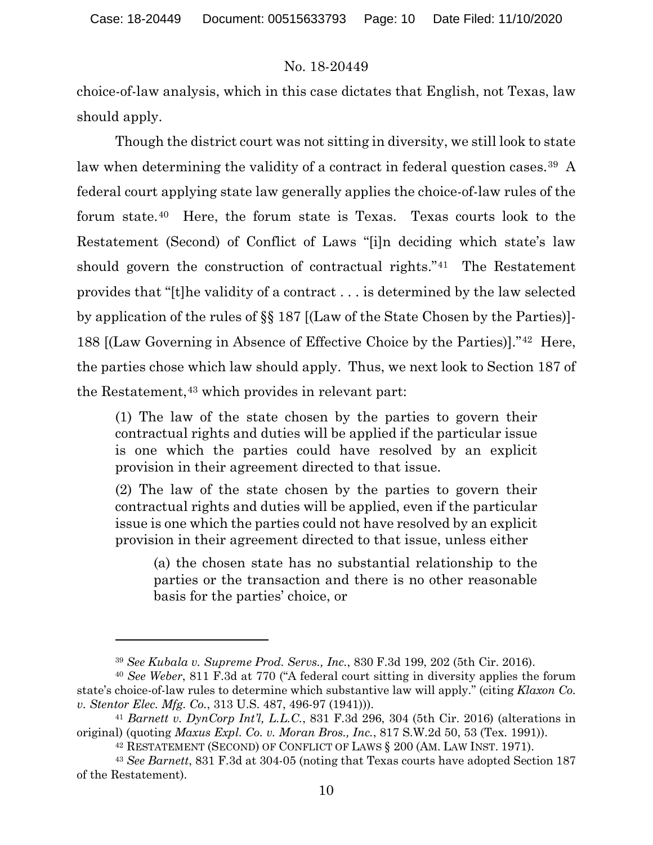choice-of-law analysis, which in this case dictates that English, not Texas, law should apply.

Though the district court was not sitting in diversity, we still look to state law when determining the validity of a contract in federal question cases.<sup>[39](#page-9-0)</sup> A federal court applying state law generally applies the choice-of-law rules of the forum state.[40](#page-9-1) Here, the forum state is Texas. Texas courts look to the Restatement (Second) of Conflict of Laws "[i]n deciding which state's law should govern the construction of contractual rights."[41](#page-9-2) The Restatement provides that "[t]he validity of a contract . . . is determined by the law selected by application of the rules of §§ 187 [(Law of the State Chosen by the Parties)]- 188 [(Law Governing in Absence of Effective Choice by the Parties)]."[42](#page-9-3) Here, the parties chose which law should apply. Thus, we next look to Section 187 of the Restatement,<sup>[43](#page-9-4)</sup> which provides in relevant part:

(1) The law of the state chosen by the parties to govern their contractual rights and duties will be applied if the particular issue is one which the parties could have resolved by an explicit provision in their agreement directed to that issue.

(2) The law of the state chosen by the parties to govern their contractual rights and duties will be applied, even if the particular issue is one which the parties could not have resolved by an explicit provision in their agreement directed to that issue, unless either

(a) the chosen state has no substantial relationship to the parties or the transaction and there is no other reasonable basis for the parties' choice, or

<sup>39</sup> *See Kubala v. Supreme Prod. Servs., Inc.*, 830 F.3d 199, 202 (5th Cir. 2016).

<span id="page-9-1"></span><span id="page-9-0"></span><sup>40</sup> *See Weber*, 811 F.3d at 770 ("A federal court sitting in diversity applies the forum state's choice-of-law rules to determine which substantive law will apply." (citing *Klaxon Co. v. Stentor Elec. Mfg. Co.*, 313 U.S. 487, 496-97 (1941))).

<span id="page-9-2"></span><sup>41</sup> *Barnett v. DynCorp Int'l, L.L.C.*, 831 F.3d 296, 304 (5th Cir. 2016) (alterations in original) (quoting *Maxus Expl. Co. v. Moran Bros., Inc.*, 817 S.W.2d 50, 53 (Tex. 1991)).

<sup>42</sup> RESTATEMENT (SECOND) OF CONFLICT OF LAWS § 200 (AM. LAW INST. 1971).

<span id="page-9-4"></span><span id="page-9-3"></span><sup>43</sup> *See Barnett*, 831 F.3d at 304-05 (noting that Texas courts have adopted Section 187 of the Restatement).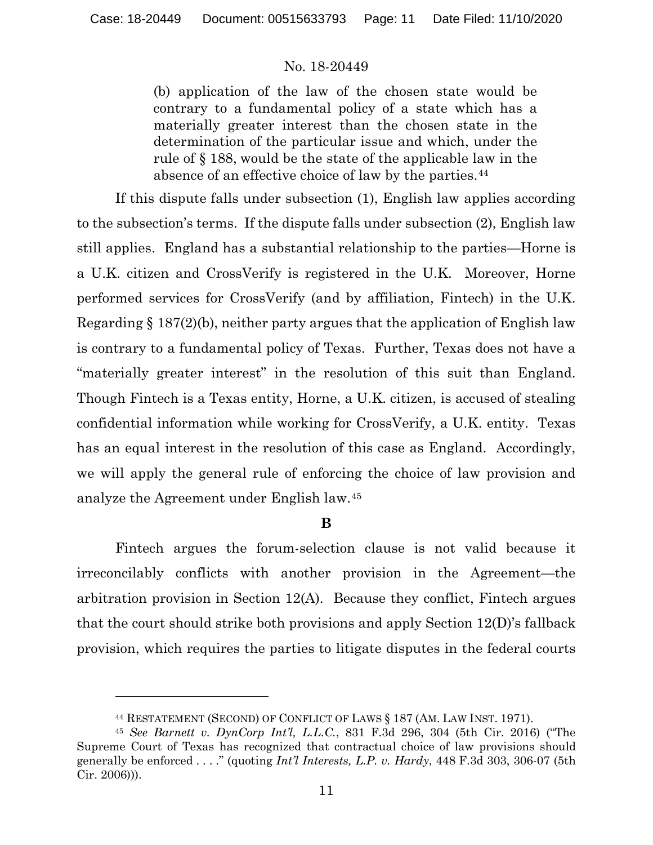(b) application of the law of the chosen state would be contrary to a fundamental policy of a state which has a materially greater interest than the chosen state in the determination of the particular issue and which, under the rule of § 188, would be the state of the applicable law in the absence of an effective choice of law by the parties.<sup>[44](#page-10-0)</sup>

If this dispute falls under subsection (1), English law applies according to the subsection's terms. If the dispute falls under subsection (2), English law still applies. England has a substantial relationship to the parties—Horne is a U.K. citizen and CrossVerify is registered in the U.K. Moreover, Horne performed services for CrossVerify (and by affiliation, Fintech) in the U.K. Regarding § 187(2)(b), neither party argues that the application of English law is contrary to a fundamental policy of Texas. Further, Texas does not have a "materially greater interest" in the resolution of this suit than England. Though Fintech is a Texas entity, Horne, a U.K. citizen, is accused of stealing confidential information while working for CrossVerify, a U.K. entity. Texas has an equal interest in the resolution of this case as England. Accordingly, we will apply the general rule of enforcing the choice of law provision and analyze the Agreement under English law.[45](#page-10-1)

### **B**

Fintech argues the forum-selection clause is not valid because it irreconcilably conflicts with another provision in the Agreement—the arbitration provision in Section 12(A). Because they conflict, Fintech argues that the court should strike both provisions and apply Section 12(D)'s fallback provision, which requires the parties to litigate disputes in the federal courts

<sup>44</sup> RESTATEMENT (SECOND) OF CONFLICT OF LAWS § 187 (AM. LAW INST. 1971).

<span id="page-10-1"></span><span id="page-10-0"></span><sup>45</sup> *See Barnett v. DynCorp Int'l, L.L.C.*, 831 F.3d 296, 304 (5th Cir. 2016) ("The Supreme Court of Texas has recognized that contractual choice of law provisions should generally be enforced . . . ." (quoting *Int'l Interests, L.P. v. Hardy*, 448 F.3d 303, 306-07 (5th Cir. 2006))).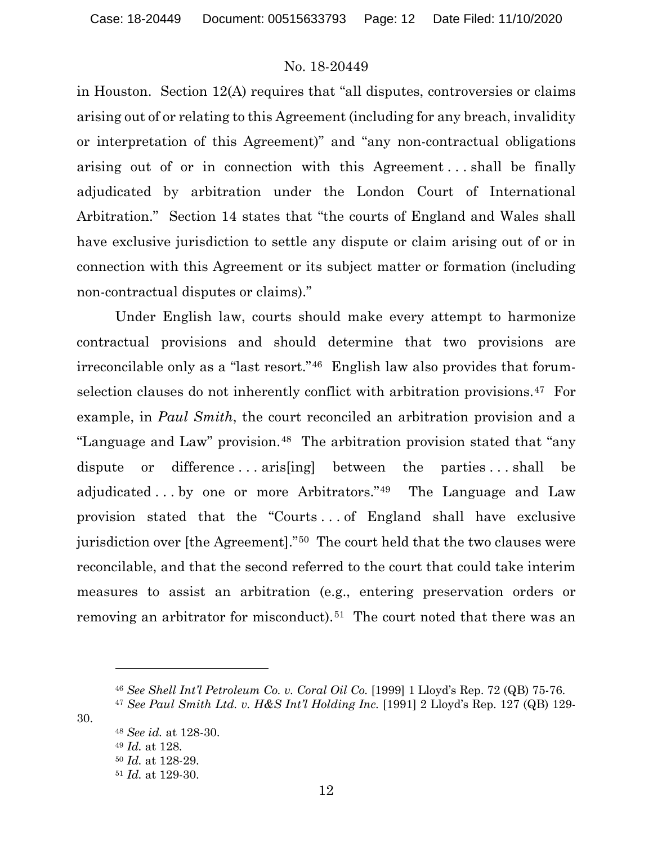in Houston. Section 12(A) requires that "all disputes, controversies or claims arising out of or relating to this Agreement (including for any breach, invalidity or interpretation of this Agreement)" and "any non-contractual obligations arising out of or in connection with this Agreement . . . shall be finally adjudicated by arbitration under the London Court of International Arbitration." Section 14 states that "the courts of England and Wales shall have exclusive jurisdiction to settle any dispute or claim arising out of or in connection with this Agreement or its subject matter or formation (including non-contractual disputes or claims)."

Under English law, courts should make every attempt to harmonize contractual provisions and should determine that two provisions are irreconcilable only as a "last resort."[46](#page-11-0) English law also provides that forumselection clauses do not inherently conflict with arbitration provisions.<sup>47</sup> For example, in *Paul Smith*, the court reconciled an arbitration provision and a "Language and Law" provision.[48](#page-11-2) The arbitration provision stated that "any dispute or difference ... arises between the parties ... shall be adjudicated . . . by one or more Arbitrators."[49](#page-11-3) The Language and Law provision stated that the "Courts . . . of England shall have exclusive jurisdiction over [the Agreement]."[50](#page-11-4) The court held that the two clauses were reconcilable, and that the second referred to the court that could take interim measures to assist an arbitration (e.g., entering preservation orders or removing an arbitrator for misconduct).<sup>[51](#page-11-5)</sup> The court noted that there was an

<span id="page-11-5"></span><span id="page-11-4"></span><span id="page-11-3"></span><span id="page-11-2"></span><span id="page-11-1"></span><span id="page-11-0"></span>30.

 *See id.* at 128-30. *Id.* at 128. *Id.* at 128-29. *Id.* at 129-30.

<sup>46</sup> *See Shell Int'l Petroleum Co. v. Coral Oil Co.* [1999] 1 Lloyd's Rep. 72 (QB) 75-76.

<sup>47</sup> *See Paul Smith Ltd. v. H&S Int'l Holding Inc.* [1991] 2 Lloyd's Rep. 127 (QB) 129-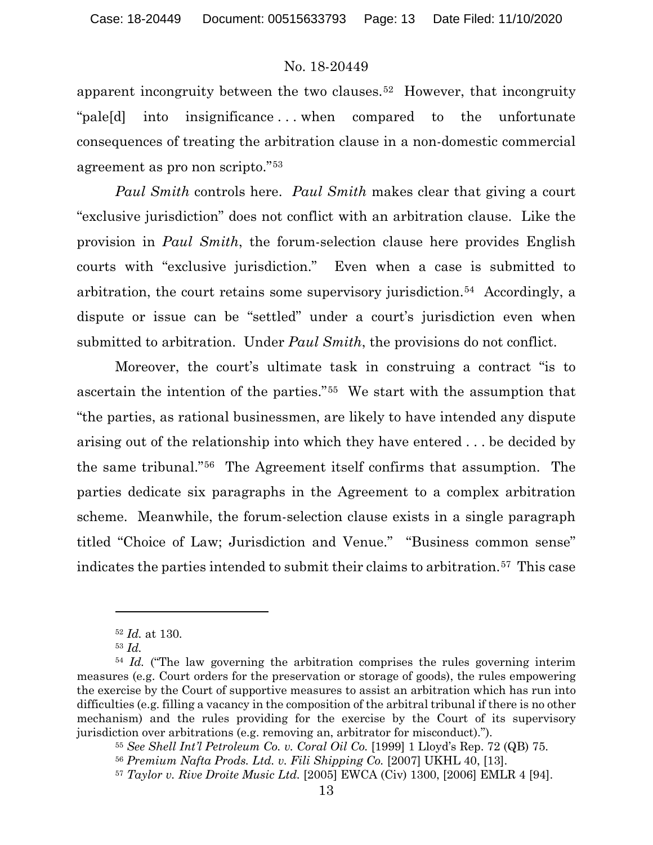apparent incongruity between the two clauses.[52](#page-12-0) However, that incongruity "pale[d] into insignificance . . . when compared to the unfortunate consequences of treating the arbitration clause in a non-domestic commercial agreement as pro non scripto."[53](#page-12-1)

*Paul Smith* controls here. *Paul Smith* makes clear that giving a court "exclusive jurisdiction" does not conflict with an arbitration clause. Like the provision in *Paul Smith*, the forum-selection clause here provides English courts with "exclusive jurisdiction." Even when a case is submitted to arbitration, the court retains some supervisory jurisdiction.[54](#page-12-2) Accordingly, a dispute or issue can be "settled" under a court's jurisdiction even when submitted to arbitration. Under *Paul Smith*, the provisions do not conflict.

Moreover, the court's ultimate task in construing a contract "is to ascertain the intention of the parties."[55](#page-12-3) We start with the assumption that "the parties, as rational businessmen, are likely to have intended any dispute arising out of the relationship into which they have entered . . . be decided by the same tribunal."[56](#page-12-4) The Agreement itself confirms that assumption. The parties dedicate six paragraphs in the Agreement to a complex arbitration scheme. Meanwhile, the forum-selection clause exists in a single paragraph titled "Choice of Law; Jurisdiction and Venue." "Business common sense" indicates the parties intended to submit their claims to arbitration.<sup>[57](#page-12-5)</sup> This case

<sup>52</sup> *Id.* at 130.

<sup>53</sup> *Id.*

<span id="page-12-3"></span><span id="page-12-2"></span><span id="page-12-1"></span><span id="page-12-0"></span><sup>&</sup>lt;sup>54</sup> *Id.* ("The law governing the arbitration comprises the rules governing interim measures (e.g. Court orders for the preservation or storage of goods), the rules empowering the exercise by the Court of supportive measures to assist an arbitration which has run into difficulties (e.g. filling a vacancy in the composition of the arbitral tribunal if there is no other mechanism) and the rules providing for the exercise by the Court of its supervisory jurisdiction over arbitrations (e.g. removing an, arbitrator for misconduct).").

<sup>55</sup> *See Shell Int'l Petroleum Co. v. Coral Oil Co.* [1999] 1 Lloyd's Rep. 72 (QB) 75.

<span id="page-12-4"></span><sup>56</sup> *Premium Nafta Prods. Ltd. v. Fili Shipping Co.* [2007] UKHL 40, [13].

<span id="page-12-5"></span><sup>57</sup> *Taylor v. Rive Droite Music Ltd.* [2005] EWCA (Civ) 1300, [2006] EMLR 4 [94].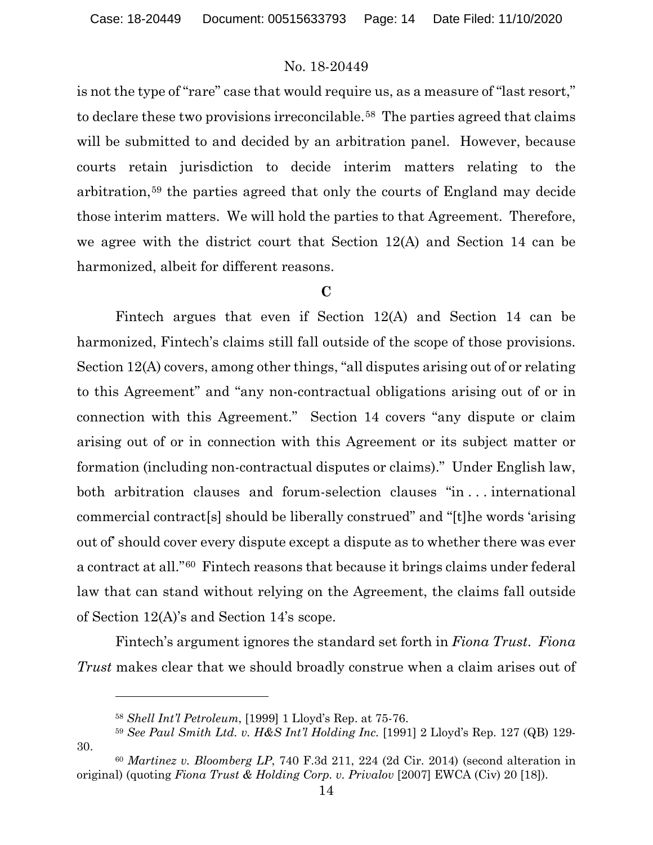is not the type of "rare" case that would require us, as a measure of "last resort," to declare these two provisions irreconcilable.[58](#page-13-0) The parties agreed that claims will be submitted to and decided by an arbitration panel. However, because courts retain jurisdiction to decide interim matters relating to the arbitration,[59](#page-13-1) the parties agreed that only the courts of England may decide those interim matters. We will hold the parties to that Agreement. Therefore, we agree with the district court that Section 12(A) and Section 14 can be harmonized, albeit for different reasons.

### **C**

Fintech argues that even if Section 12(A) and Section 14 can be harmonized, Fintech's claims still fall outside of the scope of those provisions. Section 12(A) covers, among other things, "all disputes arising out of or relating to this Agreement" and "any non-contractual obligations arising out of or in connection with this Agreement." Section 14 covers "any dispute or claim arising out of or in connection with this Agreement or its subject matter or formation (including non-contractual disputes or claims)." Under English law, both arbitration clauses and forum-selection clauses "in . . . international commercial contract[s] should be liberally construed" and "[t]he words 'arising out of' should cover every dispute except a dispute as to whether there was ever a contract at all."[60](#page-13-2) Fintech reasons that because it brings claims under federal law that can stand without relying on the Agreement, the claims fall outside of Section 12(A)'s and Section 14's scope.

Fintech's argument ignores the standard set forth in *Fiona Trust*. *Fiona Trust* makes clear that we should broadly construe when a claim arises out of

<span id="page-13-1"></span><span id="page-13-0"></span>30.

<sup>58</sup> *Shell Int'l Petroleum*, [1999] 1 Lloyd's Rep. at 75-76.

<sup>59</sup> *See Paul Smith Ltd. v. H&S Int'l Holding Inc.* [1991] 2 Lloyd's Rep. 127 (QB) 129-

<span id="page-13-2"></span><sup>60</sup> *Martinez v. Bloomberg LP*, 740 F.3d 211, 224 (2d Cir. 2014) (second alteration in original) (quoting *Fiona Trust & Holding Corp. v. Privalov* [2007] EWCA (Civ) 20 [18]).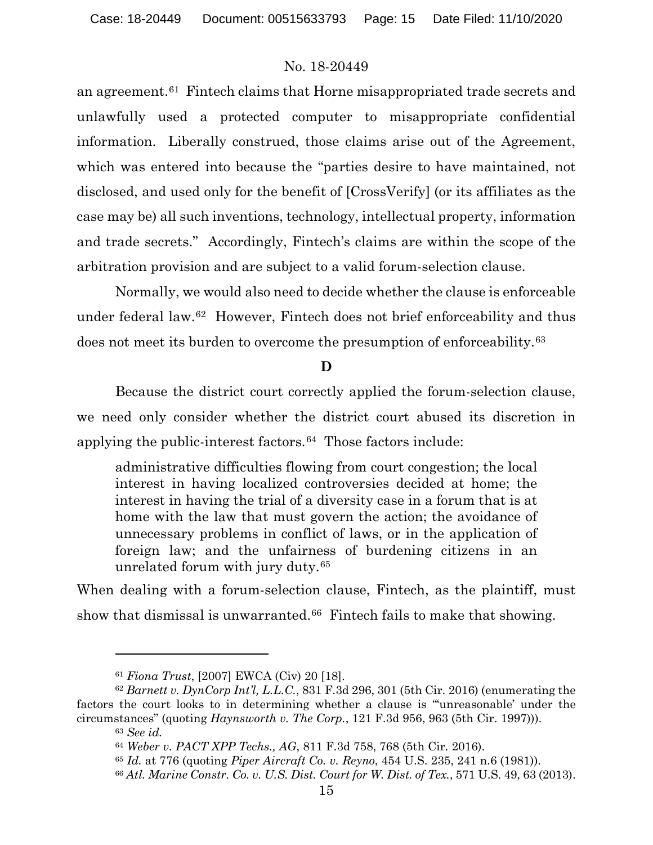an agreement.[61](#page-14-0) Fintech claims that Horne misappropriated trade secrets and unlawfully used a protected computer to misappropriate confidential information. Liberally construed, those claims arise out of the Agreement, which was entered into because the "parties desire to have maintained, not disclosed, and used only for the benefit of [CrossVerify] (or its affiliates as the case may be) all such inventions, technology, intellectual property, information and trade secrets." Accordingly, Fintech's claims are within the scope of the arbitration provision and are subject to a valid forum-selection clause.

Normally, we would also need to decide whether the clause is enforceable under federal law.[62](#page-14-1) However, Fintech does not brief enforceability and thus does not meet its burden to overcome the presumption of enforceability.[63](#page-14-2) 

## **D**

Because the district court correctly applied the forum-selection clause, we need only consider whether the district court abused its discretion in applying the public-interest factors.[64](#page-14-3) Those factors include:

administrative difficulties flowing from court congestion; the local interest in having localized controversies decided at home; the interest in having the trial of a diversity case in a forum that is at home with the law that must govern the action; the avoidance of unnecessary problems in conflict of laws, or in the application of foreign law; and the unfairness of burdening citizens in an unrelated forum with jury duty.[65](#page-14-4) 

When dealing with a forum-selection clause, Fintech, as the plaintiff, must show that dismissal is unwarranted.<sup>66</sup> Fintech fails to make that showing.

<sup>61</sup> *Fiona Trust*, [2007] EWCA (Civ) 20 [18].

<span id="page-14-5"></span><span id="page-14-4"></span><span id="page-14-3"></span><span id="page-14-2"></span><span id="page-14-1"></span><span id="page-14-0"></span><sup>62</sup> *Barnett v. DynCorp Int'l, L.L.C.*, 831 F.3d 296, 301 (5th Cir. 2016) (enumerating the factors the court looks to in determining whether a clause is "'unreasonable' under the circumstances" (quoting *Haynsworth v. The Corp.*, 121 F.3d 956, 963 (5th Cir. 1997))).

<sup>63</sup> *See id.*

<sup>64</sup> *Weber v. PACT XPP Techs., AG*, 811 F.3d 758, 768 (5th Cir. 2016).

<sup>65</sup> *Id.* at 776 (quoting *Piper Aircraft Co. v. Reyno*, 454 U.S. 235, 241 n.6 (1981)).

<sup>66</sup> *Atl. Marine Constr. Co. v. U.S. Dist. Court for W. Dist. of Tex.*, 571 U.S. 49, 63 (2013).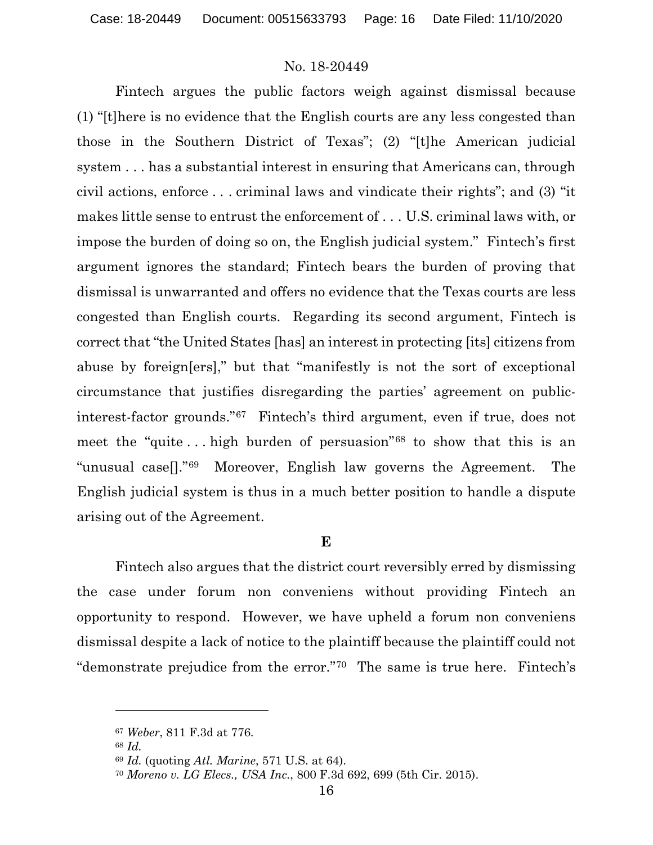Fintech argues the public factors weigh against dismissal because (1) "[t]here is no evidence that the English courts are any less congested than those in the Southern District of Texas"; (2) "[t]he American judicial system . . . has a substantial interest in ensuring that Americans can, through civil actions, enforce . . . criminal laws and vindicate their rights"; and (3) "it makes little sense to entrust the enforcement of . . . U.S. criminal laws with, or impose the burden of doing so on, the English judicial system." Fintech's first argument ignores the standard; Fintech bears the burden of proving that dismissal is unwarranted and offers no evidence that the Texas courts are less congested than English courts. Regarding its second argument, Fintech is correct that "the United States [has] an interest in protecting [its] citizens from abuse by foreign[ers]," but that "manifestly is not the sort of exceptional circumstance that justifies disregarding the parties' agreement on publicinterest-factor grounds."[67](#page-15-0) Fintech's third argument, even if true, does not meet the "quite ... high burden of persuasion"<sup>[68](#page-15-1)</sup> to show that this is an "unusual case[]."[69](#page-15-2) Moreover, English law governs the Agreement. The English judicial system is thus in a much better position to handle a dispute arising out of the Agreement.

#### **E**

Fintech also argues that the district court reversibly erred by dismissing the case under forum non conveniens without providing Fintech an opportunity to respond. However, we have upheld a forum non conveniens dismissal despite a lack of notice to the plaintiff because the plaintiff could not "demonstrate prejudice from the error."[70](#page-15-3) The same is true here. Fintech's

<span id="page-15-1"></span><span id="page-15-0"></span><sup>67</sup> *Weber*, 811 F.3d at 776.

<sup>68</sup> *Id.* 

<span id="page-15-2"></span><sup>69</sup> *Id.* (quoting *Atl. Marine*, 571 U.S. at 64).

<span id="page-15-3"></span><sup>70</sup> *Moreno v. LG Elecs., USA Inc.*, 800 F.3d 692, 699 (5th Cir. 2015).